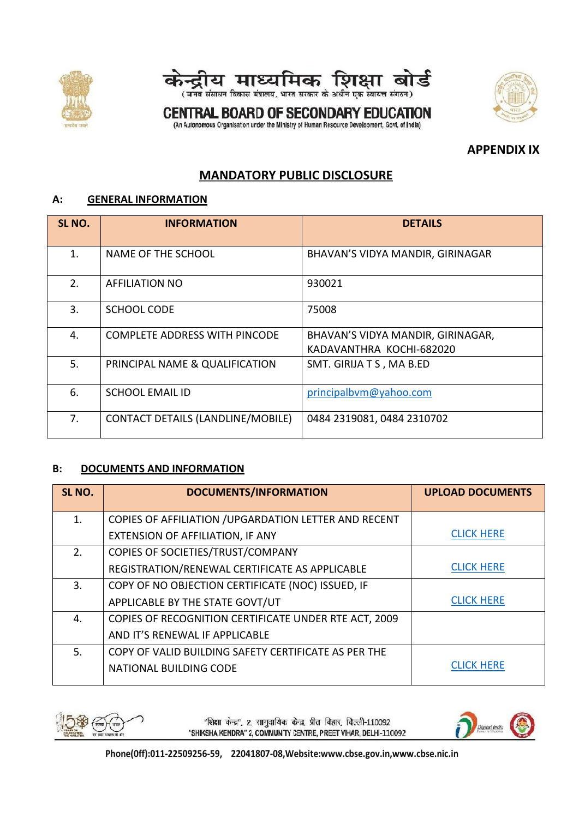





**CENTRAL BOARD OF SECONDARY EDUCATION** (An Autonomous Organisation under the Ministry of Human Resource Development, Govt. of India)

**APPENDIX IX**

# **MANDATORY PUBLIC DISCLOSURE**

### **A: GENERAL INFORMATION**

| SL <sub>NO</sub> . | <b>INFORMATION</b>                       | <b>DETAILS</b>                                                |
|--------------------|------------------------------------------|---------------------------------------------------------------|
| 1.                 | NAME OF THE SCHOOL                       | BHAVAN'S VIDYA MANDIR, GIRINAGAR                              |
| 2.                 | <b>AFFILIATION NO</b>                    | 930021                                                        |
| 3.                 | SCHOOL CODE                              | 75008                                                         |
| 4.                 | <b>COMPLETE ADDRESS WITH PINCODE</b>     | BHAVAN'S VIDYA MANDIR, GIRINAGAR,<br>KADAVANTHRA KOCHI-682020 |
| 5.                 | PRINCIPAL NAME & QUALIFICATION           | SMT. GIRIJA T S, MA B.ED                                      |
| 6.                 | <b>SCHOOL EMAIL ID</b>                   | principalbvm@yahoo.com                                        |
| 7.                 | <b>CONTACT DETAILS (LANDLINE/MOBILE)</b> | 0484 2319081, 0484 2310702                                    |

#### **B: DOCUMENTS AND INFORMATION**

| SL <sub>NO</sub> . | <b>DOCUMENTS/INFORMATION</b>                          | <b>UPLOAD DOCUMENTS</b> |
|--------------------|-------------------------------------------------------|-------------------------|
| 1.                 | COPIES OF AFFILIATION / UPGARDATION LETTER AND RECENT |                         |
|                    | EXTENSION OF AFFILIATION, IF ANY                      | <b>CLICK HERE</b>       |
| 2.                 | COPIES OF SOCIETIES/TRUST/COMPANY                     |                         |
|                    | REGISTRATION/RENEWAL CERTIFICATE AS APPLICABLE        | <b>CLICK HERE</b>       |
| 3.                 | COPY OF NO OBJECTION CERTIFICATE (NOC) ISSUED, IF     |                         |
|                    | APPLICABLE BY THE STATE GOVT/UT                       | <b>CLICK HERE</b>       |
| 4.                 | COPIES OF RECOGNITION CERTIFICATE UNDER RTE ACT, 2009 |                         |
|                    | AND IT'S RENEWAL IF APPLICABLE                        |                         |
| .5.                | COPY OF VALID BUILDING SAFETY CERTIFICATE AS PER THE  |                         |
|                    | NATIONAL BUILDING CODE                                | <b>CLICK HERE</b>       |
|                    |                                                       |                         |



"शिक्षा केन्द्र", 2, सामुदायिक केन्द्र, प्रीत विहार, दिल्ली-110092 "SHIKSHA KENDRA" 2, COMMUNITY CENTRE, PREET VIHAR, DELHI-110092

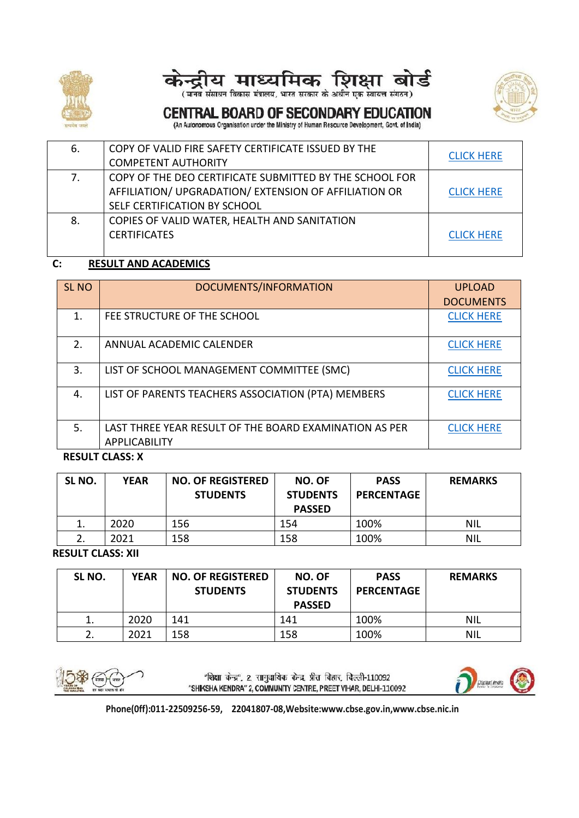





# **CENTRAL BOARD OF SECONDARY EDUCATION**

(An Autonomous Organisation under the Ministry of Human Resource Development, Govt. of India)

| 6. | COPY OF VALID FIRE SAFETY CERTIFICATE ISSUED BY THE<br><b>COMPETENT AUTHORITY</b>                                                                | <b>CLICK HERE</b> |
|----|--------------------------------------------------------------------------------------------------------------------------------------------------|-------------------|
| 7. | COPY OF THE DEO CERTIFICATE SUBMITTED BY THE SCHOOL FOR<br>AFFILIATION/ UPGRADATION/ EXTENSION OF AFFILIATION OR<br>SELF CERTIFICATION BY SCHOOL | <b>CLICK HERE</b> |
| 8. | COPIES OF VALID WATER, HEALTH AND SANITATION<br><b>CERTIFICATES</b>                                                                              | <b>CLICK HERE</b> |

## **C: RESULT AND ACADEMICS**

| <b>SLNO</b> | DOCUMENTS/INFORMATION                                                   | <b>UPLOAD</b>     |
|-------------|-------------------------------------------------------------------------|-------------------|
|             |                                                                         | <b>DOCUMENTS</b>  |
| 1.          | FEE STRUCTURE OF THE SCHOOL                                             | <b>CLICK HERE</b> |
| 2.          | ANNUAL ACADEMIC CALENDER                                                | <b>CLICK HERE</b> |
| 3.          | LIST OF SCHOOL MANAGEMENT COMMITTEE (SMC)                               | <b>CLICK HERE</b> |
| 4.          | LIST OF PARENTS TEACHERS ASSOCIATION (PTA) MEMBERS                      | <b>CLICK HERE</b> |
| .5.         | LAST THREE YEAR RESULT OF THE BOARD EXAMINATION AS PER<br>APPLICABILITY | <b>CLICK HERE</b> |

#### **RESULT CLASS: X**

| SL NO. | <b>YEAR</b> | <b>NO. OF REGISTERED</b><br><b>STUDENTS</b> | NO. OF<br><b>STUDENTS</b><br><b>PASSED</b> | <b>PASS</b><br><b>PERCENTAGE</b> | <b>REMARKS</b> |
|--------|-------------|---------------------------------------------|--------------------------------------------|----------------------------------|----------------|
| T.     | 2020        | 156                                         | 154                                        | 100%                             | NIL            |
|        | 2021        | 158                                         | 158                                        | 100%                             | NIL            |

**RESULT CLASS: XII**

| SL NO. | <b>YEAR</b> | <b>NO. OF REGISTERED</b><br><b>STUDENTS</b> | NO. OF<br><b>STUDENTS</b><br><b>PASSED</b> | <b>PASS</b><br><b>PERCENTAGE</b> | <b>REMARKS</b> |
|--------|-------------|---------------------------------------------|--------------------------------------------|----------------------------------|----------------|
| ⊥.     | 2020        | 141                                         | 141                                        | 100%                             | <b>NIL</b>     |
|        | 2021        | 158                                         | 158                                        | 100%                             | <b>NIL</b>     |



"शिक्षा केन्द्र", 2, सामुदायिक केन्द्र, प्रीत विहार, दिल्ली-110092<br>"SHIKSHA KENDRA" 2, COMMUNITY CENTRE, PREET VIHAR, DELHI-110092



**Phone(0ff):011-22509256-59, 22041807-08,Website:www.cbse.gov.in,www.cbse.nic.in**